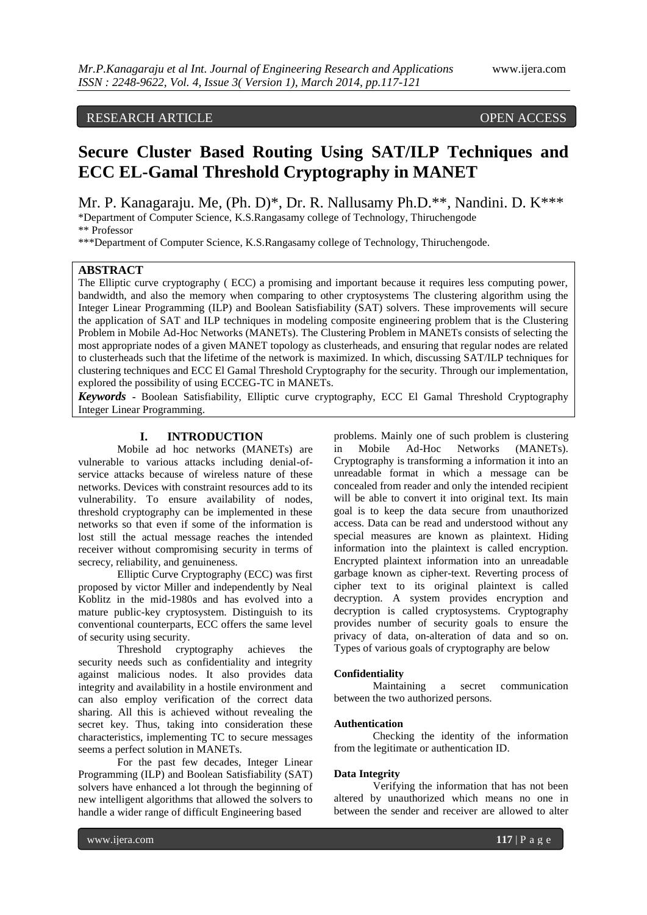# RESEARCH ARTICLE OPEN ACCESS

# **Secure Cluster Based Routing Using SAT/ILP Techniques and ECC EL-Gamal Threshold Cryptography in MANET**

Mr. P. Kanagaraju. Me, (Ph. D)\*, Dr. R. Nallusamy Ph.D.\*\*, Nandini. D. K\*\*\* \*Department of Computer Science, K.S.Rangasamy college of Technology, Thiruchengode \*\* Professor

\*\*\*Department of Computer Science, K.S.Rangasamy college of Technology, Thiruchengode.

# **ABSTRACT**

The Elliptic curve cryptography ( ECC) a promising and important because it requires less computing power, bandwidth, and also the memory when comparing to other cryptosystems The clustering algorithm using the Integer Linear Programming (ILP) and Boolean Satisfiability (SAT) solvers. These improvements will secure the application of SAT and ILP techniques in modeling composite engineering problem that is the Clustering Problem in Mobile Ad-Hoc Networks (MANETs). The Clustering Problem in MANETs consists of selecting the most appropriate nodes of a given MANET topology as clusterheads, and ensuring that regular nodes are related to clusterheads such that the lifetime of the network is maximized. In which, discussing SAT/ILP techniques for clustering techniques and ECC El Gamal Threshold Cryptography for the security. Through our implementation, explored the possibility of using ECCEG-TC in MANETs.

*Keywords* **-** Boolean Satisfiability, Elliptic curve cryptography, ECC El Gamal Threshold Cryptography Integer Linear Programming.

# **I. INTRODUCTION**

Mobile ad hoc networks (MANETs) are vulnerable to various attacks including denial-ofservice attacks because of wireless nature of these networks. Devices with constraint resources add to its vulnerability. To ensure availability of nodes, threshold cryptography can be implemented in these networks so that even if some of the information is lost still the actual message reaches the intended receiver without compromising security in terms of secrecy, reliability, and genuineness.

Elliptic Curve Cryptography (ECC) was first proposed by victor Miller and independently by Neal Koblitz in the mid-1980s and has evolved into a mature public-key cryptosystem. Distinguish to its conventional counterparts, ECC offers the same level of security using security.

Threshold cryptography achieves the security needs such as confidentiality and integrity against malicious nodes. It also provides data integrity and availability in a hostile environment and can also employ verification of the correct data sharing. All this is achieved without revealing the secret key. Thus, taking into consideration these characteristics, implementing TC to secure messages seems a perfect solution in MANETs.

For the past few decades, Integer Linear Programming (ILP) and Boolean Satisfiability (SAT) solvers have enhanced a lot through the beginning of new intelligent algorithms that allowed the solvers to handle a wider range of difficult Engineering based

problems. Mainly one of such problem is clustering in Mobile Ad-Hoc Networks (MANETs). Cryptography is transforming a information it into an unreadable format in which a message can be concealed from reader and only the intended recipient will be able to convert it into original text. Its main goal is to keep the data secure from unauthorized access. Data can be read and understood without any special measures are known as plaintext. Hiding information into the plaintext is called encryption. Encrypted plaintext information into an unreadable garbage known as cipher-text. Reverting process of cipher text to its original plaintext is called decryption. A system provides encryption and decryption is called cryptosystems. Cryptography provides number of security goals to ensure the privacy of data, on-alteration of data and so on. Types of various goals of cryptography are below

#### **Confidentiality**

Maintaining a secret communication between the two authorized persons.

#### **Authentication**

Checking the identity of the information from the legitimate or authentication ID.

#### **Data Integrity**

Verifying the information that has not been altered by unauthorized which means no one in between the sender and receiver are allowed to alter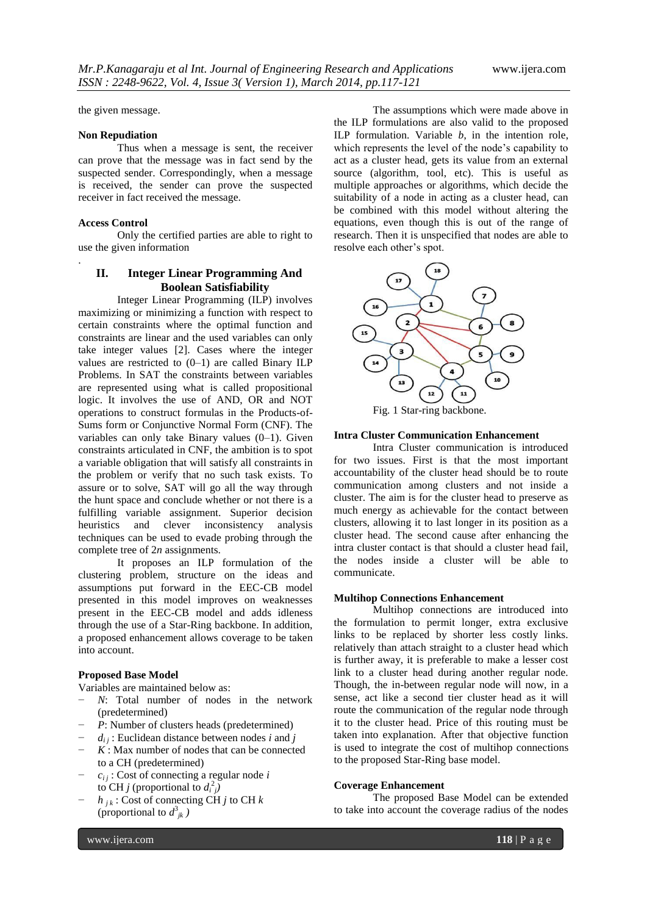the given message.

### **Non Repudiation**

Thus when a message is sent, the receiver can prove that the message was in fact send by the suspected sender. Correspondingly, when a message is received, the sender can prove the suspected receiver in fact received the message.

#### **Access Control**

.

Only the certified parties are able to right to use the given information

# **II. Integer Linear Programming And Boolean Satisfiability**

Integer Linear Programming (ILP) involves maximizing or minimizing a function with respect to certain constraints where the optimal function and constraints are linear and the used variables can only take integer values [2]. Cases where the integer values are restricted to  $(0-1)$  are called Binary ILP Problems. In SAT the constraints between variables are represented using what is called propositional logic. It involves the use of AND, OR and NOT operations to construct formulas in the Products-of-Sums form or Conjunctive Normal Form (CNF). The variables can only take Binary values (0–1). Given constraints articulated in CNF, the ambition is to spot a variable obligation that will satisfy all constraints in the problem or verify that no such task exists. To assure or to solve, SAT will go all the way through the hunt space and conclude whether or not there is a fulfilling variable assignment. Superior decision heuristics and clever inconsistency analysis techniques can be used to evade probing through the complete tree of 2*n* assignments.

It proposes an ILP formulation of the clustering problem, structure on the ideas and assumptions put forward in the EEC-CB model presented in this model improves on weaknesses present in the EEC-CB model and adds idleness through the use of a Star-Ring backbone. In addition, a proposed enhancement allows coverage to be taken into account.

# **Proposed Base Model**

Variables are maintained below as:

- *N*: Total number of nodes in the network (predetermined)
- *P*: Number of clusters heads (predetermined)
- $d_{ij}$ : Euclidean distance between nodes *i* and *j*
- $K$ : Max number of nodes that can be connected to a CH (predetermined)
- − *ci j* : Cost of connecting a regular node *i* to CH *j* (proportional to  $d_i^2$ )
- $h_{ik}$ : Cost of connecting CH *j* to CH  $k$ (proportional to  $d^3_{jk}$ )

The assumptions which were made above in the ILP formulations are also valid to the proposed ILP formulation. Variable *b*, in the intention role, which represents the level of the node's capability to act as a cluster head, gets its value from an external source (algorithm, tool, etc). This is useful as multiple approaches or algorithms, which decide the suitability of a node in acting as a cluster head, can be combined with this model without altering the equations, even though this is out of the range of research. Then it is unspecified that nodes are able to resolve each other's spot.



#### **Intra Cluster Communication Enhancement**

Intra Cluster communication is introduced for two issues. First is that the most important accountability of the cluster head should be to route communication among clusters and not inside a cluster. The aim is for the cluster head to preserve as much energy as achievable for the contact between clusters, allowing it to last longer in its position as a cluster head. The second cause after enhancing the intra cluster contact is that should a cluster head fail, the nodes inside a cluster will be able to communicate.

#### **Multihop Connections Enhancement**

Multihop connections are introduced into the formulation to permit longer, extra exclusive links to be replaced by shorter less costly links. relatively than attach straight to a cluster head which is further away, it is preferable to make a lesser cost link to a cluster head during another regular node. Though, the in-between regular node will now, in a sense, act like a second tier cluster head as it will route the communication of the regular node through it to the cluster head. Price of this routing must be taken into explanation. After that objective function is used to integrate the cost of multihop connections to the proposed Star-Ring base model.

#### **Coverage Enhancement**

The proposed Base Model can be extended to take into account the coverage radius of the nodes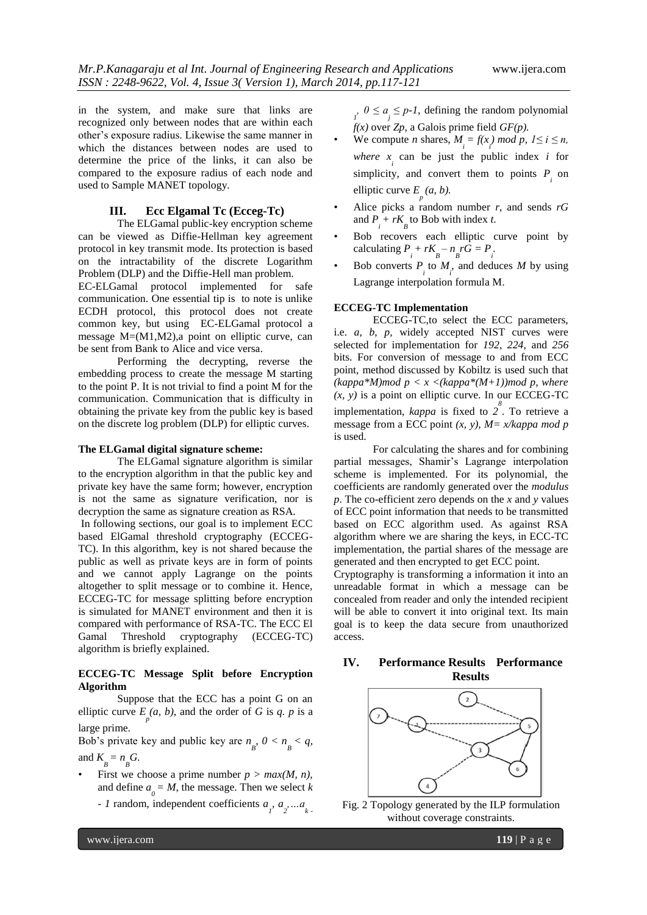in the system, and make sure that links are recognized only between nodes that are within each other's exposure radius. Likewise the same manner in which the distances between nodes are used to determine the price of the links, it can also be compared to the exposure radius of each node and used to Sample MANET topology.

# **III. Ecc Elgamal Tc (Ecceg-Tc)**

The ELGamal public-key encryption scheme can be viewed as Diffie-Hellman key agreement protocol in key transmit mode. Its protection is based on the intractability of the discrete Logarithm Problem (DLP) and the Diffie-Hell man problem.

EC-ELGamal protocol implemented for safe communication. One essential tip is to note is unlike ECDH protocol, this protocol does not create common key, but using EC-ELGamal protocol a message M=(M1,M2),a point on elliptic curve, can be sent from Bank to Alice and vice versa.

Performing the decrypting, reverse the embedding process to create the message M starting to the point P. It is not trivial to find a point M for the communication. Communication that is difficulty in obtaining the private key from the public key is based on the discrete log problem (DLP) for elliptic curves.

### **The ELGamal digital signature scheme:**

The ELGamal signature algorithm is similar to the encryption algorithm in that the public key and private key have the same form; however, encryption is not the same as signature verification, nor is decryption the same as signature creation as RSA.

In following sections, our goal is to implement ECC based ElGamal threshold cryptography (ECCEG-TC). In this algorithm, key is not shared because the public as well as private keys are in form of points and we cannot apply Lagrange on the points altogether to split message or to combine it. Hence, ECCEG-TC for message splitting before encryption is simulated for MANET environment and then it is compared with performance of RSA-TC. The ECC El Gamal Threshold cryptography (ECCEG-TC) algorithm is briefly explained.

### **ECCEG-TC Message Split before Encryption Algorithm**

Suppose that the ECC has a point G on an elliptic curve  $E_p(a, b)$ , and the order of *G* is *q. p* is a large prime.

Bob's private key and public key are  $n_{B}$ ,  $0 < n_{B} < q$ ,

and  $K_{B} = n_{B}G$ .

- First we choose a prime number  $p > max(M, n)$ , and define  $a_{\text{o}} = M$ , the message. Then we select *k* 
	- *- I* random, independent coefficients  $a_j, a_j, \ldots, a_k$ .

 $\sum_{j}$  *0* ≤ *a*<sub>*j*</sub> ≤ *p*-*1*, defining the random polynomial  $f(x)$  over  $Z_p$ , a Galois prime field  $GF(p)$ .

- We compute *n* shares,  $M_i = f(x_i) \text{ mod } p$ ,  $1 \le i \le n$ , *where*  $x_i$  can be just the public index *i* for simplicity, and convert them to points  $P_i$  on elliptic curve  $E_p(a, b)$ .
- Alice picks a random number *r*, and sends *rG*  and  $P_i + rK_B$  to Bob with index *t*.
- Bob recovers each elliptic curve point by calculating  $P_i + rK_B - n_B rG = P_i$ .
- Bob converts  $P_i$  to  $M_i$ , and deduces  $M$  by using Lagrange interpolation formula M.

#### **ECCEG-TC Implementation**

ECCEG-TC,to select the ECC parameters, i.e. *a*, *b*, *p,* widely accepted NIST curves were selected for implementation for *192*, *224*, and *256*  bits. For conversion of message to and from ECC point, method discussed by Kobiltz is used such that  $(kappa*M)$ *mod p < x <(kappa*\* $(M+1)$ *)mod p, where*  $(x, y)$  is a point on elliptic curve. In our ECCEG-TC implementation, *kappa* is fixed to *2 8* . To retrieve a message from a ECC point *(x, y), M= x/kappa mod p*  is used.

For calculating the shares and for combining partial messages, Shamir's Lagrange interpolation scheme is implemented. For its polynomial, the coefficients are randomly generated over the *modulus p*. The co-efficient zero depends on the *x* and *y* values of ECC point information that needs to be transmitted based on ECC algorithm used. As against RSA algorithm where we are sharing the keys, in ECC-TC implementation, the partial shares of the message are generated and then encrypted to get ECC point.

Cryptography is transforming a information it into an unreadable format in which a message can be concealed from reader and only the intended recipient will be able to convert it into original text. Its main goal is to keep the data secure from unauthorized access.

# **IV. Performance Results Performance Results**



Fig. 2 Topology generated by the ILP formulation without coverage constraints.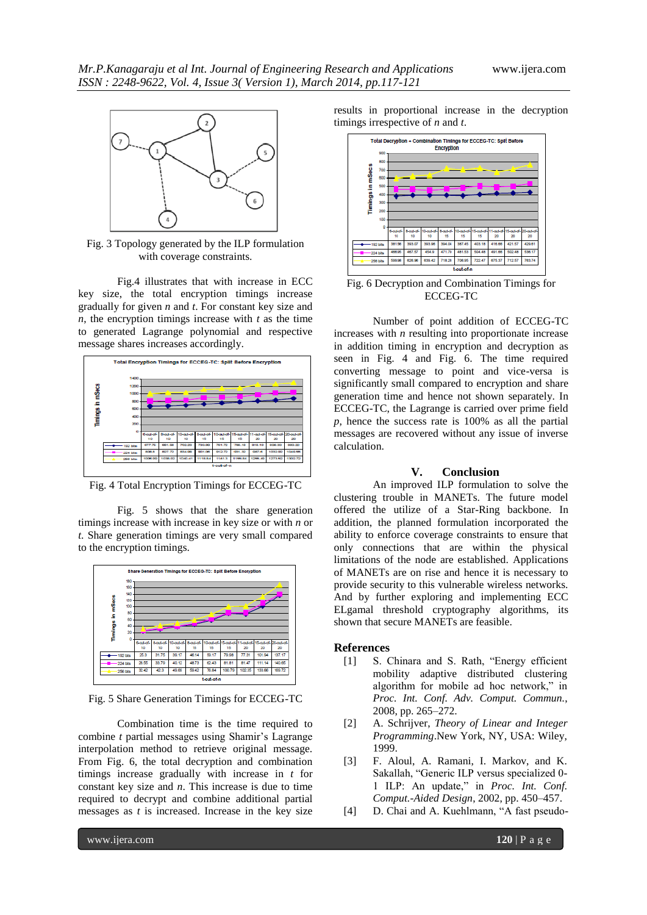

Fig. 3 Topology generated by the ILP formulation with coverage constraints.

Fig.4 illustrates that with increase in ECC key size, the total encryption timings increase gradually for given *n* and *t*. For constant key size and *n*, the encryption timings increase with *t* as the time to generated Lagrange polynomial and respective message shares increases accordingly.



Fig. 4 Total Encryption Timings for ECCEG-TC

Fig. 5 shows that the share generation timings increase with increase in key size or with *n* or *t*. Share generation timings are very small compared to the encryption timings.



Fig. 5 Share Generation Timings for ECCEG-TC

Combination time is the time required to combine *t* partial messages using Shamir's Lagrange interpolation method to retrieve original message. From Fig. 6, the total decryption and combination timings increase gradually with increase in *t* for constant key size and *n*. This increase is due to time required to decrypt and combine additional partial messages as *t* is increased. Increase in the key size

results in proportional increase in the decryption timings irrespective of *n* and *t*.



Number of point addition of ECCEG-TC increases with *n* resulting into proportionate increase in addition timing in encryption and decryption as seen in Fig. 4 and Fig. 6. The time required converting message to point and vice-versa is significantly small compared to encryption and share generation time and hence not shown separately. In ECCEG-TC, the Lagrange is carried over prime field *p*, hence the success rate is 100% as all the partial messages are recovered without any issue of inverse calculation.

### **V. Conclusion**

An improved ILP formulation to solve the clustering trouble in MANETs. The future model offered the utilize of a Star-Ring backbone. In addition, the planned formulation incorporated the ability to enforce coverage constraints to ensure that only connections that are within the physical limitations of the node are established. Applications of MANETs are on rise and hence it is necessary to provide security to this vulnerable wireless networks. And by further exploring and implementing ECC ELgamal threshold cryptography algorithms, its shown that secure MANETs are feasible.

# **References**

- [1] S. Chinara and S. Rath, "Energy efficient mobility adaptive distributed clustering algorithm for mobile ad hoc network," in *Proc. Int. Conf. Adv. Comput. Commun.*, 2008, pp. 265–272.
- [2] A. Schrijver, *Theory of Linear and Integer Programming*.New York, NY, USA: Wiley, 1999.
- [3] F. Aloul, A. Ramani, I. Markov, and K. Sakallah, "Generic ILP versus specialized 0- 1 ILP: An update," in *Proc. Int. Conf. Comput.-Aided Design*, 2002, pp. 450–457.
- [4] D. Chai and A. Kuehlmann, "A fast pseudo-